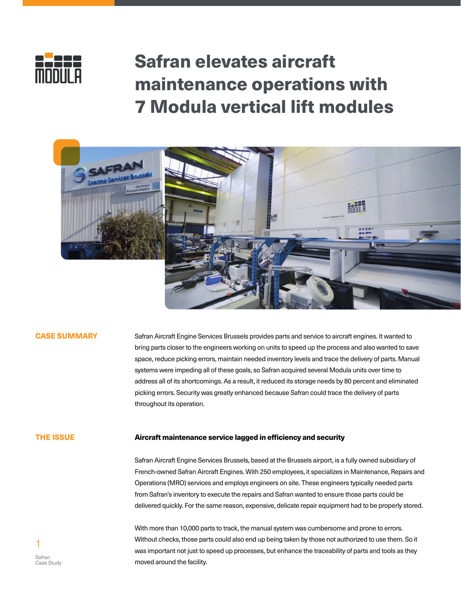

# Safran elevates aircraft maintenance operations with 7 Modula vertical lift modules



#### CASE SUMMARY

Safran Aircraft Engine Services Brussels provides parts and service to aircraft engines. It wanted to bring parts closer to the engineers working on units to speed up the process and also wanted to save space, reduce picking errors, maintain needed inventory levels and trace the delivery of parts. Manual systems were impeding all of these goals, so Safran acquired several Modula units over time to address all of its shortcomings. As a result, it reduced its storage needs by 80 percent and eliminated picking errors. Security was greatly enhanced because Safran could trace the delivery of parts throughout its operation.

#### THE ISSUE

#### Aircraft maintenance service lagged in efficiency and security

Safran Aircraft Engine Services Brussels, based at the Brussels airport, is a fully owned subsidiary of French-owned Safran Aircraft Engines. With 250 employees, it specializes in Maintenance, Repairs and Operations (MRO) services and employs engineers on site. These engineers typically needed parts from Safran's inventory to execute the repairs and Safran wanted to ensure those parts could be delivered quickly. For the same reason, expensive, delicate repair equipment had to be properly stored.

With more than 10,000 parts to track, the manual system was cumbersome and prone to errors. Without checks, those parts could also end up being taken by those not authorized to use them. So it was important not just to speed up processes, but enhance the traceability of parts and tools as they moved around the facility.

1 Safran Case Study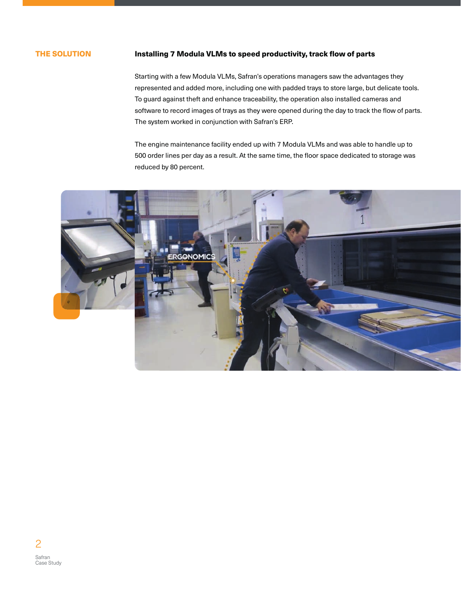## THE SOLUTION

## Installing 7 Modula VLMs to speed productivity, track flow of parts

Starting with a few Modula VLMs, Safran's operations managers saw the advantages they represented and added more, including one with padded trays to store large, but delicate tools. To guard against theft and enhance traceability, the operation also installed cameras and software to record images of trays as they were opened during the day to track the flow of parts. The system worked in conjunction with Safran's ERP.

The engine maintenance facility ended up with 7 Modula VLMs and was able to handle up to 500 order lines per day as a result. At the same time, the floor space dedicated to storage was reduced by 80 percent.